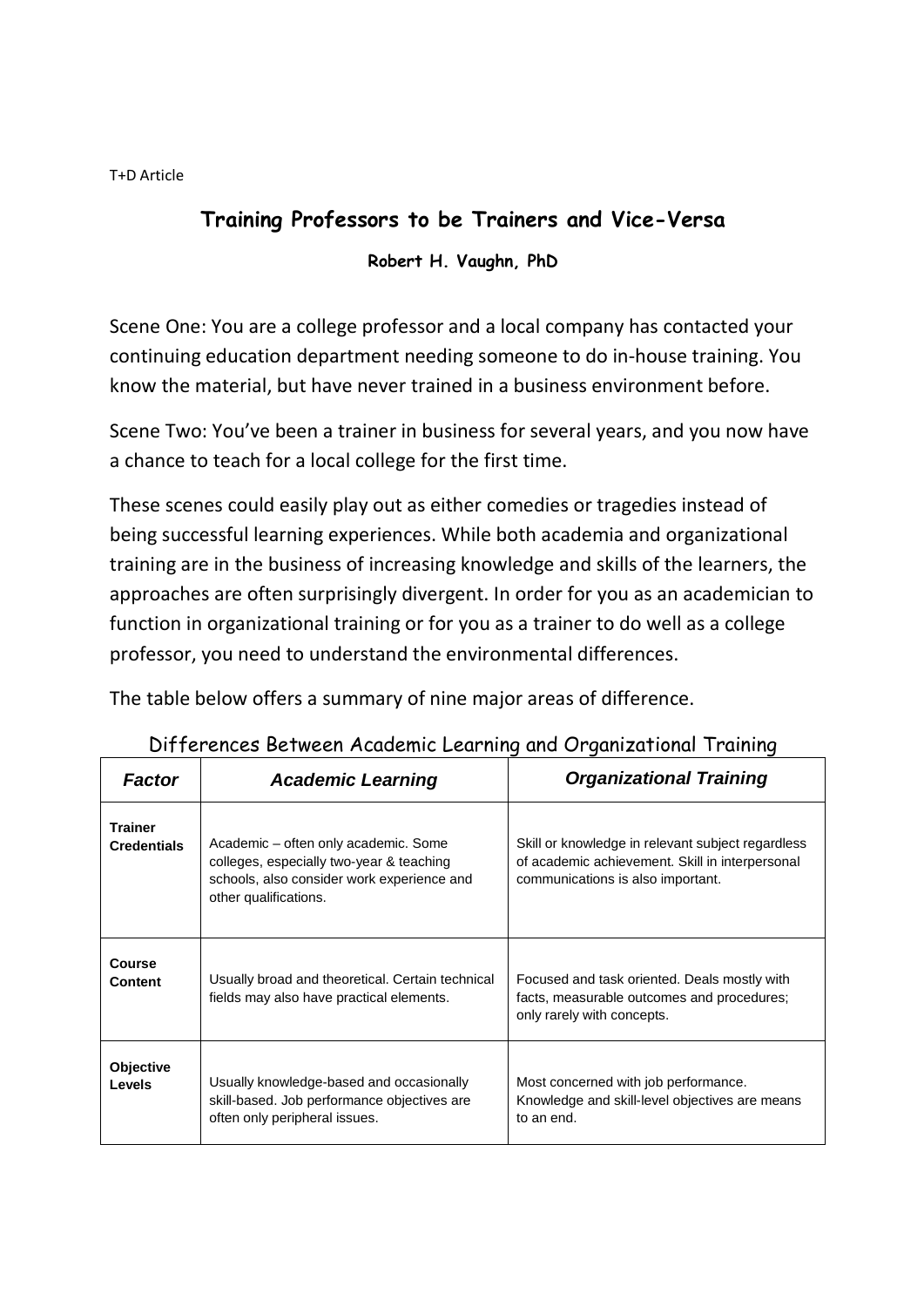T+D Article

## **Training Professors to be Trainers and Vice-Versa**

**Robert H. Vaughn, PhD**

Scene One: You are a college professor and a local company has contacted your continuing education department needing someone to do in-house training. You know the material, but have never trained in a business environment before.

Scene Two: You've been a trainer in business for several years, and you now have a chance to teach for a local college for the first time.

These scenes could easily play out as either comedies or tragedies instead of being successful learning experiences. While both academia and organizational training are in the business of increasing knowledge and skills of the learners, the approaches are often surprisingly divergent. In order for you as an academician to function in organizational training or for you as a trainer to do well as a college professor, you need to understand the environmental differences.

The table below offers a summary of nine major areas of difference.

| <b>Factor</b>                        | <b>Academic Learning</b>                                                                                                                                | <b>Organizational Training</b>                                                                                                            |  |
|--------------------------------------|---------------------------------------------------------------------------------------------------------------------------------------------------------|-------------------------------------------------------------------------------------------------------------------------------------------|--|
| <b>Trainer</b><br><b>Credentials</b> | Academic – often only academic. Some<br>colleges, especially two-year & teaching<br>schools, also consider work experience and<br>other qualifications. | Skill or knowledge in relevant subject regardless<br>of academic achievement. Skill in interpersonal<br>communications is also important. |  |
| <b>Course</b><br><b>Content</b>      | Usually broad and theoretical. Certain technical<br>fields may also have practical elements.                                                            | Focused and task oriented. Deals mostly with<br>facts, measurable outcomes and procedures;<br>only rarely with concepts.                  |  |
| <b>Objective</b><br>Levels           | Usually knowledge-based and occasionally<br>skill-based. Job performance objectives are<br>often only peripheral issues.                                | Most concerned with job performance.<br>Knowledge and skill-level objectives are means<br>to an end.                                      |  |

Differences Between Academic Learning and Organizational Training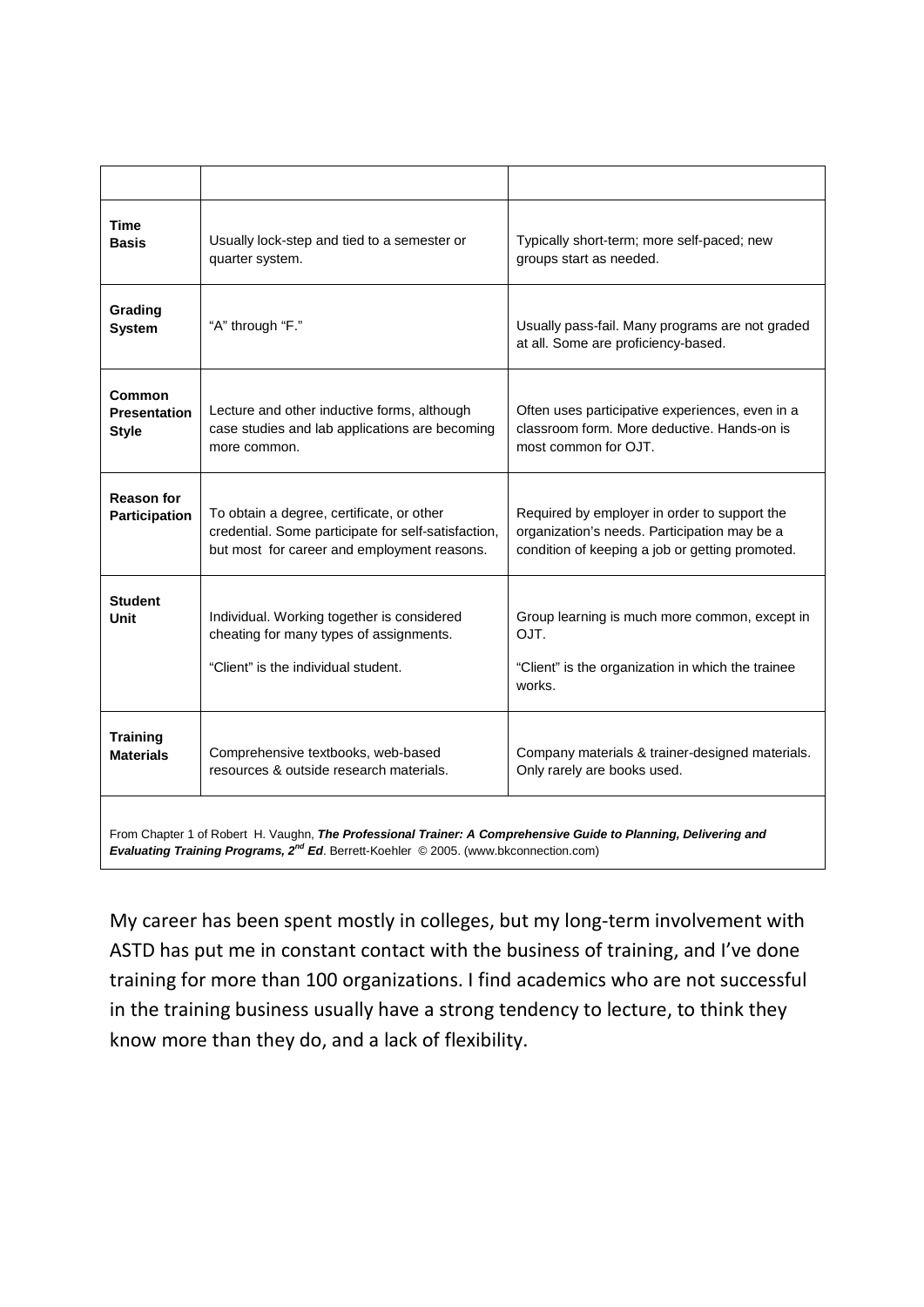| <b>Time</b><br><b>Basis</b>                                                                                                                                                                                         | Usually lock-step and tied to a semester or<br>quarter system.                                                                                  | Typically short-term; more self-paced; new<br>groups start as needed.                                                                           |  |
|---------------------------------------------------------------------------------------------------------------------------------------------------------------------------------------------------------------------|-------------------------------------------------------------------------------------------------------------------------------------------------|-------------------------------------------------------------------------------------------------------------------------------------------------|--|
| Grading<br><b>System</b>                                                                                                                                                                                            | "A" through "F."                                                                                                                                | Usually pass-fail. Many programs are not graded<br>at all. Some are proficiency-based.                                                          |  |
| Common<br><b>Presentation</b><br><b>Style</b>                                                                                                                                                                       | Lecture and other inductive forms, although<br>case studies and lab applications are becoming<br>more common.                                   | Often uses participative experiences, even in a<br>classroom form. More deductive. Hands-on is<br>most common for OJT.                          |  |
| <b>Reason for</b><br>Participation                                                                                                                                                                                  | To obtain a degree, certificate, or other<br>credential. Some participate for self-satisfaction,<br>but most for career and employment reasons. | Required by employer in order to support the<br>organization's needs. Participation may be a<br>condition of keeping a job or getting promoted. |  |
| <b>Student</b><br>Unit                                                                                                                                                                                              | Individual. Working together is considered<br>cheating for many types of assignments.<br>"Client" is the individual student.                    | Group learning is much more common, except in<br>OJT.<br>"Client" is the organization in which the trainee<br>works.                            |  |
| <b>Training</b><br><b>Materials</b>                                                                                                                                                                                 | Comprehensive textbooks, web-based<br>resources & outside research materials.                                                                   | Company materials & trainer-designed materials.<br>Only rarely are books used.                                                                  |  |
| From Chapter 1 of Robert H. Vaughn, The Professional Trainer: A Comprehensive Guide to Planning, Delivering and<br>Evaluating Training Programs, 2 <sup>nd</sup> Ed. Berrett-Koehler © 2005. (www.bkconnection.com) |                                                                                                                                                 |                                                                                                                                                 |  |

My career has been spent mostly in colleges, but my long-term involvement with ASTD has put me in constant contact with the business of training, and I've done training for more than 100 organizations. I find academics who are not successful in the training business usually have a strong tendency to lecture, to think they know more than they do, and a lack of flexibility.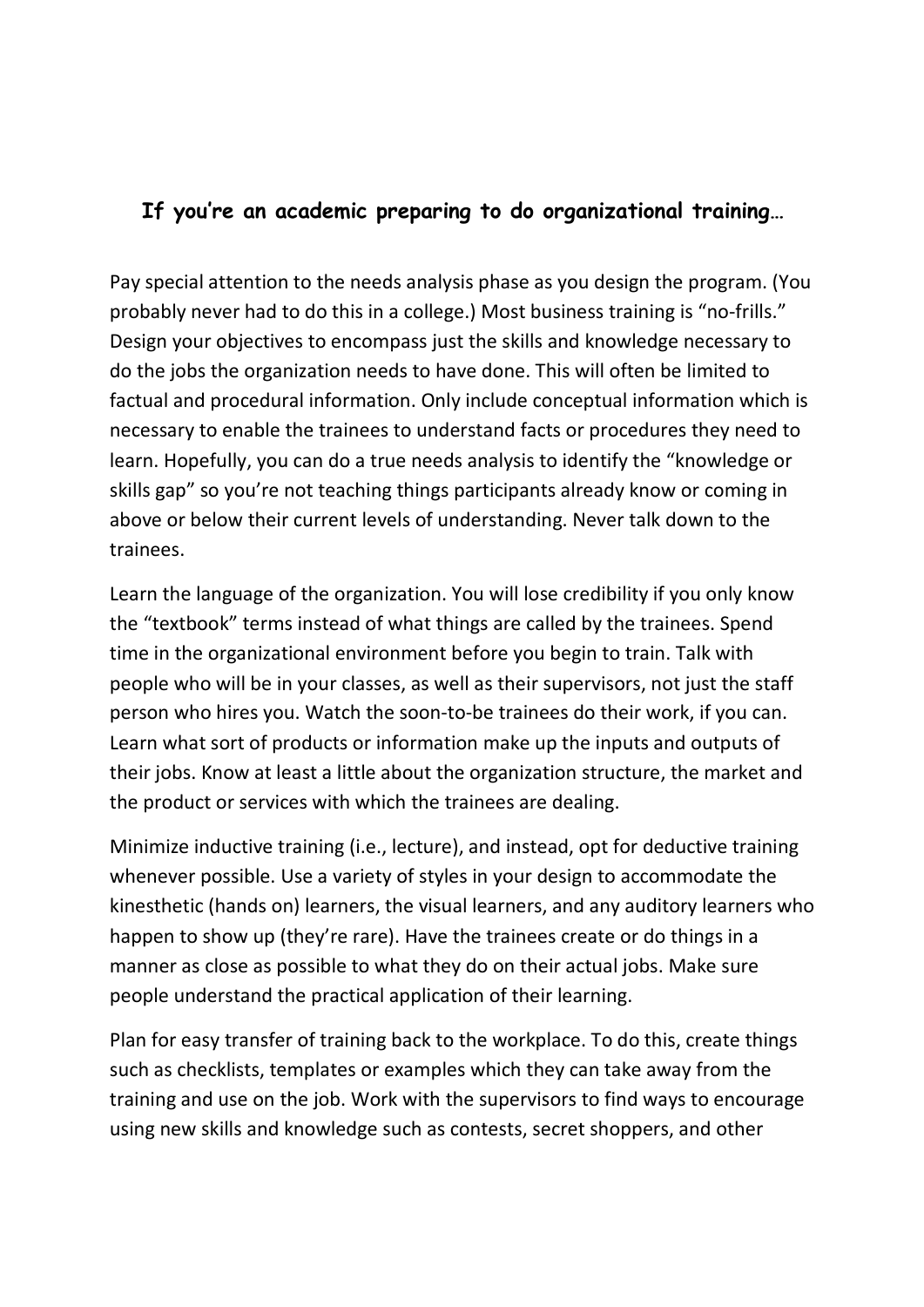## **If you're an academic preparing to do organizational training…**

Pay special attention to the needs analysis phase as you design the program. (You probably never had to do this in a college.) Most business training is "no-frills." Design your objectives to encompass just the skills and knowledge necessary to do the jobs the organization needs to have done. This will often be limited to factual and procedural information. Only include conceptual information which is necessary to enable the trainees to understand facts or procedures they need to learn. Hopefully, you can do a true needs analysis to identify the "knowledge or skills gap" so you're not teaching things participants already know or coming in above or below their current levels of understanding. Never talk down to the trainees.

Learn the language of the organization. You will lose credibility if you only know the "textbook" terms instead of what things are called by the trainees. Spend time in the organizational environment before you begin to train. Talk with people who will be in your classes, as well as their supervisors, not just the staff person who hires you. Watch the soon-to-be trainees do their work, if you can. Learn what sort of products or information make up the inputs and outputs of their jobs. Know at least a little about the organization structure, the market and the product or services with which the trainees are dealing.

Minimize inductive training (i.e., lecture), and instead, opt for deductive training whenever possible. Use a variety of styles in your design to accommodate the kinesthetic (hands on) learners, the visual learners, and any auditory learners who happen to show up (they're rare). Have the trainees create or do things in a manner as close as possible to what they do on their actual jobs. Make sure people understand the practical application of their learning.

Plan for easy transfer of training back to the workplace. To do this, create things such as checklists, templates or examples which they can take away from the training and use on the job. Work with the supervisors to find ways to encourage using new skills and knowledge such as contests, secret shoppers, and other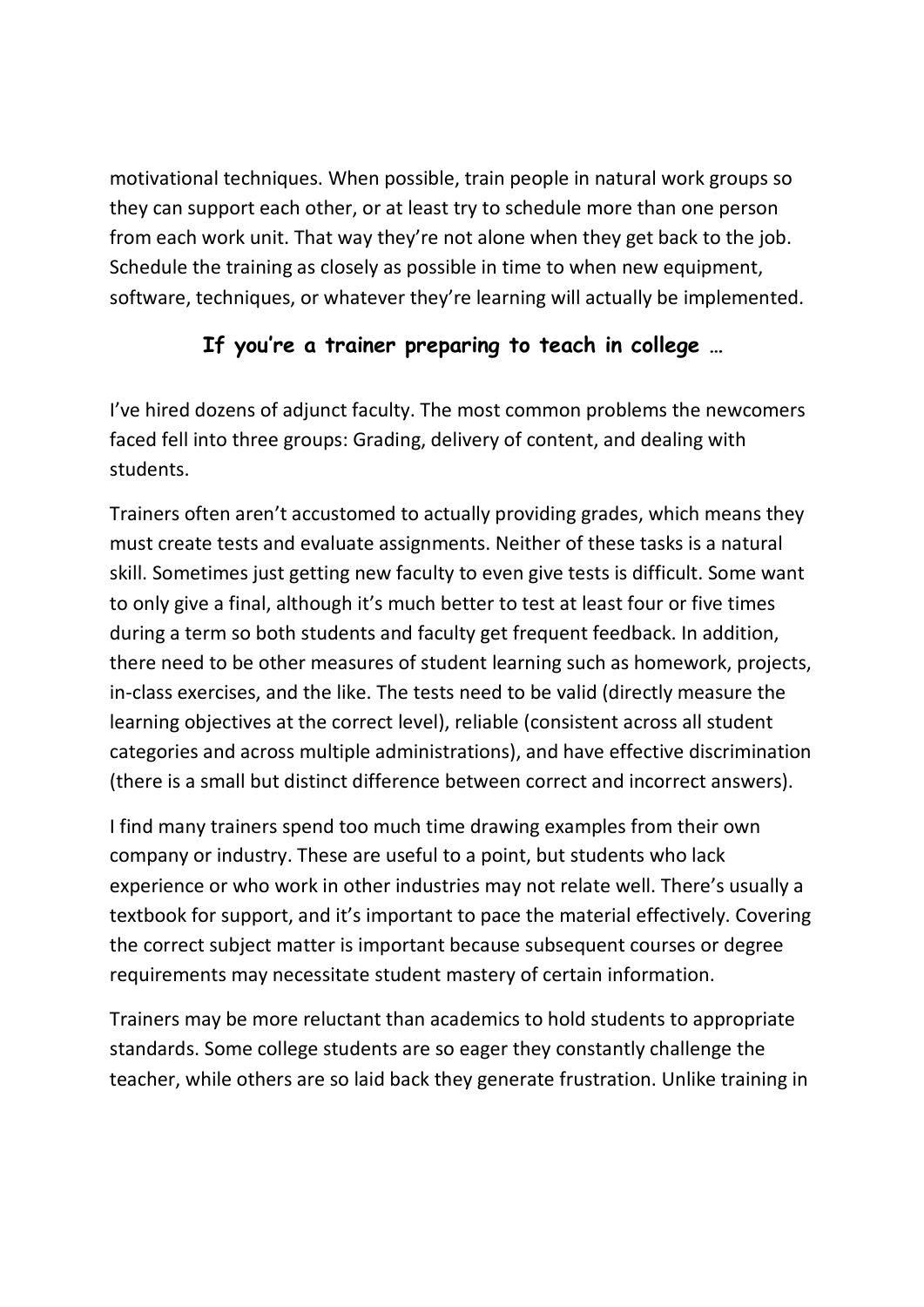motivational techniques. When possible, train people in natural work groups so they can support each other, or at least try to schedule more than one person from each work unit. That way they're not alone when they get back to the job. Schedule the training as closely as possible in time to when new equipment, software, techniques, or whatever they're learning will actually be implemented.

## **If you're a trainer preparing to teach in college …**

I've hired dozens of adjunct faculty. The most common problems the newcomers faced fell into three groups: Grading, delivery of content, and dealing with students.

Trainers often aren't accustomed to actually providing grades, which means they must create tests and evaluate assignments. Neither of these tasks is a natural skill. Sometimes just getting new faculty to even give tests is difficult. Some want to only give a final, although it's much better to test at least four or five times during a term so both students and faculty get frequent feedback. In addition, there need to be other measures of student learning such as homework, projects, in-class exercises, and the like. The tests need to be valid (directly measure the learning objectives at the correct level), reliable (consistent across all student categories and across multiple administrations), and have effective discrimination (there is a small but distinct difference between correct and incorrect answers).

I find many trainers spend too much time drawing examples from their own company or industry. These are useful to a point, but students who lack experience or who work in other industries may not relate well. There's usually a textbook for support, and it's important to pace the material effectively. Covering the correct subject matter is important because subsequent courses or degree requirements may necessitate student mastery of certain information.

Trainers may be more reluctant than academics to hold students to appropriate standards. Some college students are so eager they constantly challenge the teacher, while others are so laid back they generate frustration. Unlike training in